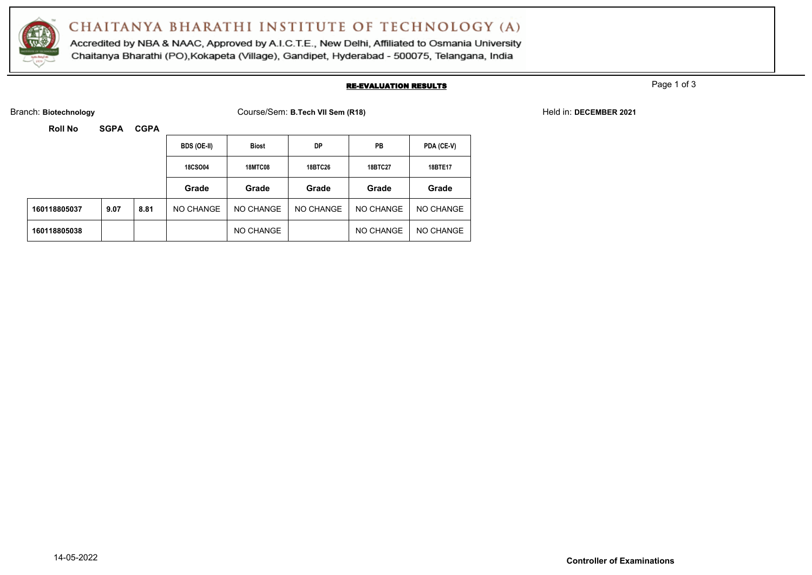

Accredited by NBA & NAAC, Approved by A.I.C.T.E., New Delhi, Affiliated to Osmania University Chaitanya Bharathi (PO), Kokapeta (Village), Gandipet, Hyderabad - 500075, Telangana, India

#### RE-EVALUATION RESULTS

Page 1 of 3

Branch: **Biotechnology** Course/Sem: **B.Tech VII Sem (R18)** Held in: **DECEMBER 2021**

|              |      |      | BDS (OE-II)    | <b>Biost</b>   | DP             | PB        | PDA (CE-V) |
|--------------|------|------|----------------|----------------|----------------|-----------|------------|
|              |      |      | <b>18CSO04</b> | <b>18MTC08</b> | <b>18BTC26</b> | 18BTC27   | 18BTE17    |
|              |      |      | Grade          | Grade          | Grade          | Grade     | Grade      |
| 160118805037 | 9.07 | 8.81 | NO CHANGE      | NO CHANGE      | NO CHANGE      | NO CHANGE | NO CHANGE  |
| 160118805038 |      |      |                | NO CHANGE      |                | NO CHANGE | NO CHANGE  |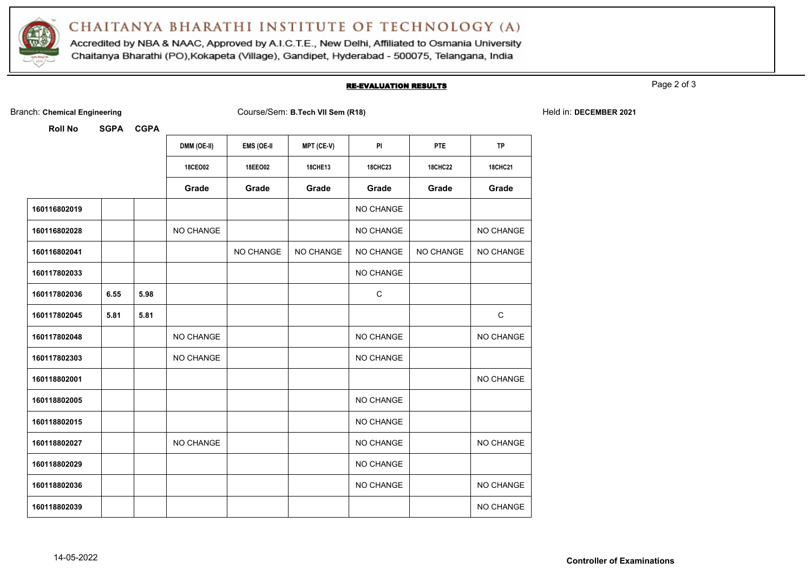

Accredited by NBA & NAAC, Approved by A.I.C.T.E., New Delhi, Affiliated to Osmania University Chaitanya Bharathi (PO), Kokapeta (Village), Gandipet, Hyderabad - 500075, Telangana, India

#### RE-EVALUATION RESULTS

Page 2 of 3

Branch: **Chemical Engineering** Course/Sem: **B.Tech VII Sem (R18)** Held in: **DECEMBER 2021**

|              |      |      | DMM (OE-II) | <b>EMS (OE-II</b> | MPT (CE-V)     | <b>PI</b>      | PTE            | <b>TP</b>      |
|--------------|------|------|-------------|-------------------|----------------|----------------|----------------|----------------|
|              |      |      | 18CEO02     | 18EE002           | <b>18CHE13</b> | <b>18CHC23</b> | <b>18CHC22</b> | <b>18CHC21</b> |
|              |      |      | Grade       | Grade             | Grade          | Grade          | Grade          | Grade          |
| 160116802019 |      |      |             |                   |                | NO CHANGE      |                |                |
| 160116802028 |      |      | NO CHANGE   |                   |                | NO CHANGE      |                | NO CHANGE      |
| 160116802041 |      |      |             | NO CHANGE         | NO CHANGE      | NO CHANGE      | NO CHANGE      | NO CHANGE      |
| 160117802033 |      |      |             |                   |                | NO CHANGE      |                |                |
| 160117802036 | 6.55 | 5.98 |             |                   |                | C              |                |                |
| 160117802045 | 5.81 | 5.81 |             |                   |                |                |                | $\mathbf C$    |
| 160117802048 |      |      | NO CHANGE   |                   |                | NO CHANGE      |                | NO CHANGE      |
| 160117802303 |      |      | NO CHANGE   |                   |                | NO CHANGE      |                |                |
| 160118802001 |      |      |             |                   |                |                |                | NO CHANGE      |
| 160118802005 |      |      |             |                   |                | NO CHANGE      |                |                |
| 160118802015 |      |      |             |                   |                | NO CHANGE      |                |                |
| 160118802027 |      |      | NO CHANGE   |                   |                | NO CHANGE      |                | NO CHANGE      |
| 160118802029 |      |      |             |                   |                | NO CHANGE      |                |                |
| 160118802036 |      |      |             |                   |                | NO CHANGE      |                | NO CHANGE      |
| 160118802039 |      |      |             |                   |                |                |                | NO CHANGE      |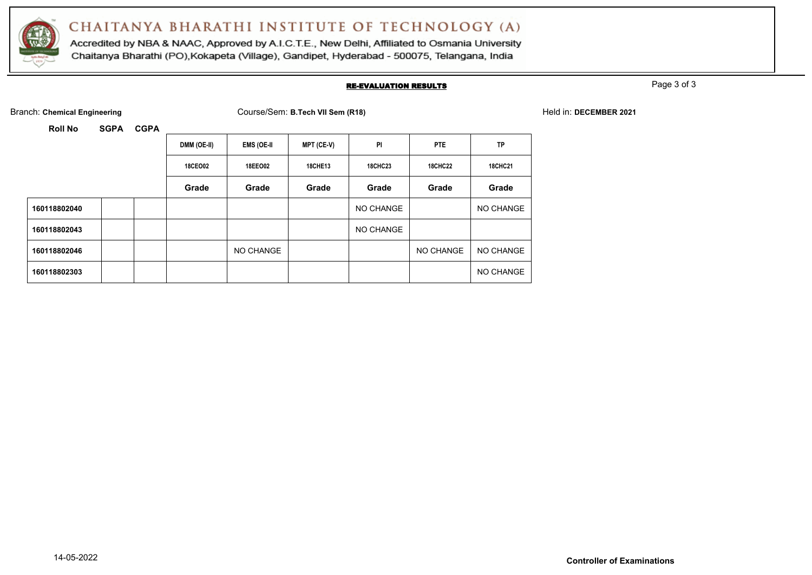

Accredited by NBA & NAAC, Approved by A.I.C.T.E., New Delhi, Affiliated to Osmania University Chaitanya Bharathi (PO), Kokapeta (Village), Gandipet, Hyderabad - 500075, Telangana, India

#### RE-EVALUATION RESULTS

Page 3 of 3

Branch: **Chemical Engineering** Course/Sem: **B.Tech VII Sem (R18)** Held in: **DECEMBER 2021**

|              | DMM (OE-II)    | <b>EMS (OE-II</b> | <b>MPT (CE-V)</b> | PI             | PTE            | <b>TP</b>      |
|--------------|----------------|-------------------|-------------------|----------------|----------------|----------------|
|              | <b>18CEO02</b> | 18EEO02           | <b>18CHE13</b>    | <b>18CHC23</b> | <b>18CHC22</b> | <b>18CHC21</b> |
|              | Grade          | Grade             | Grade             | Grade          | Grade          | Grade          |
| 160118802040 |                |                   |                   | NO CHANGE      |                | NO CHANGE      |
| 160118802043 |                |                   |                   | NO CHANGE      |                |                |
| 160118802046 |                | NO CHANGE         |                   |                | NO CHANGE      | NO CHANGE      |
| 160118802303 |                |                   |                   |                |                | NO CHANGE      |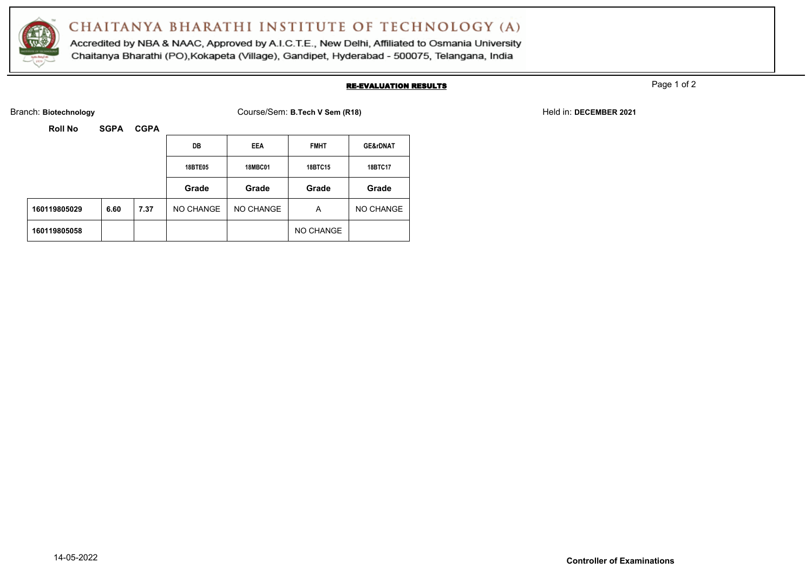

Accredited by NBA & NAAC, Approved by A.I.C.T.E., New Delhi, Affiliated to Osmania University Chaitanya Bharathi (PO), Kokapeta (Village), Gandipet, Hyderabad - 500075, Telangana, India

#### RE-EVALUATION RESULTS

Page 1 of 2

Branch: Biotechnology **Exercise 2021** Course/Sem: B.Tech V Sem (R18) Held in: DECEMBER 2021

| KOII NO      | <b>SUPA</b> | <b>UUPA</b> |                |                |             |                     |
|--------------|-------------|-------------|----------------|----------------|-------------|---------------------|
|              |             |             | DB             | EEA            | <b>FMHT</b> | <b>GE&amp;rDNAT</b> |
|              |             |             | <b>18BTE05</b> | <b>18MBC01</b> | 18BTC15     | 18BTC17             |
|              |             |             | Grade          | Grade          | Grade       | Grade               |
| 160119805029 | 6.60        | 7.37        | NO CHANGE      | NO CHANGE      | A           | NO CHANGE           |
| 160119805058 |             |             |                |                | NO CHANGE   |                     |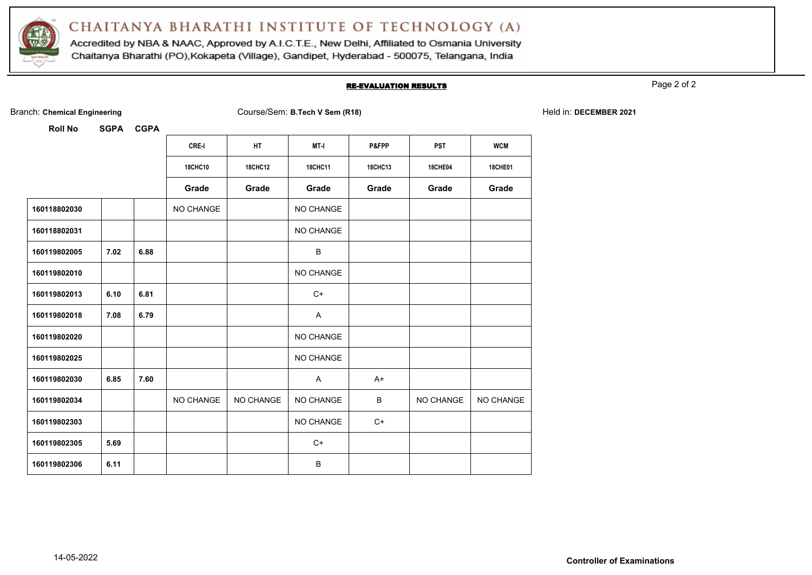

Accredited by NBA & NAAC, Approved by A.I.C.T.E., New Delhi, Affiliated to Osmania University Chaitanya Bharathi (PO), Kokapeta (Village), Gandipet, Hyderabad - 500075, Telangana, India

#### RE-EVALUATION RESULTS

Page 2 of 2

|  | Branch: Chemical Engineering |  |
|--|------------------------------|--|
|  |                              |  |

Branch: **Chemical Engineering** Course/Sem: **B.Tech V Sem (R18)** Held in: **DECEMBER 2021**

|              |      |      | CRE-I          | HT             | MT-I           | P&FPP          | <b>PST</b>     | <b>WCM</b>     |
|--------------|------|------|----------------|----------------|----------------|----------------|----------------|----------------|
|              |      |      | <b>18CHC10</b> | <b>18CHC12</b> | <b>18CHC11</b> | <b>18CHC13</b> | <b>18CHE04</b> | <b>18CHE01</b> |
|              |      |      | Grade          | Grade          | Grade          | Grade          | Grade          | Grade          |
| 160118802030 |      |      | NO CHANGE      |                | NO CHANGE      |                |                |                |
| 160118802031 |      |      |                |                | NO CHANGE      |                |                |                |
| 160119802005 | 7.02 | 6.88 |                |                | B              |                |                |                |
| 160119802010 |      |      |                |                | NO CHANGE      |                |                |                |
| 160119802013 | 6.10 | 6.81 |                |                | $C+$           |                |                |                |
| 160119802018 | 7.08 | 6.79 |                |                | A              |                |                |                |
| 160119802020 |      |      |                |                | NO CHANGE      |                |                |                |
| 160119802025 |      |      |                |                | NO CHANGE      |                |                |                |
| 160119802030 | 6.85 | 7.60 |                |                | A              | $A+$           |                |                |
| 160119802034 |      |      | NO CHANGE      | NO CHANGE      | NO CHANGE      | B              | NO CHANGE      | NO CHANGE      |
| 160119802303 |      |      |                |                | NO CHANGE      | $C+$           |                |                |
| 160119802305 | 5.69 |      |                |                | $C+$           |                |                |                |
| 160119802306 | 6.11 |      |                |                | B              |                |                |                |